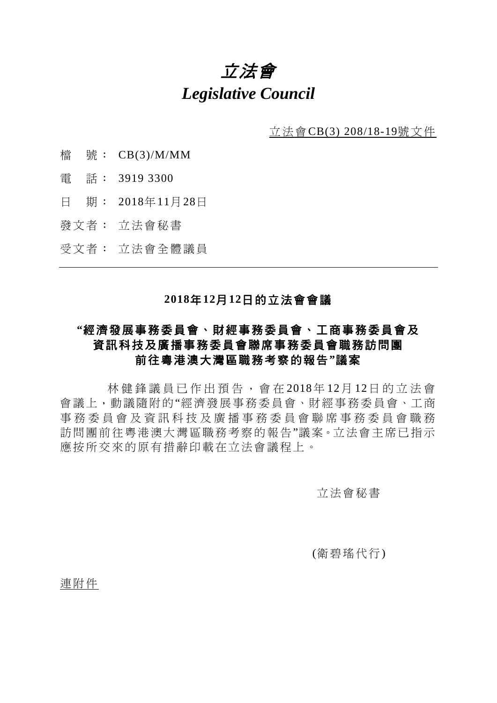# 立法會 *Legislative Council*

立法會CB(3) 208/18-19號文件

- 檔 號: CB(3)/M/MM
- 電 話: 3919 3300
- 日 期: 2018年11月28日
- 發文者: 立法會秘書
- 受文者: 立法會全體議員

### **2018**年**12**月**12**日的立法會會議

# **"**經濟發展事務委員會、財經事務委員會、工商事務委員會及 資訊科技及廣播事務委員會聯席事務委員會職務訪問團 前往粵港澳大灣區職務考察的報告**"**議案

林健鋒 議員已作出預告,會在 2018年 12月 12日的立 法 會 會議上,動議隨附的"經濟發展事務委員會、財經事務委員會、工商 事務委員會及資訊科技及廣播事務委員會聯席事務委員會職務 訪問團前往粵港澳大灣區職務考察的報告"議案。立法會主席已指示 應按所交來的原有措辭印載在立法會議程上。

立法會秘書

(衛碧瑤代行)

連附件